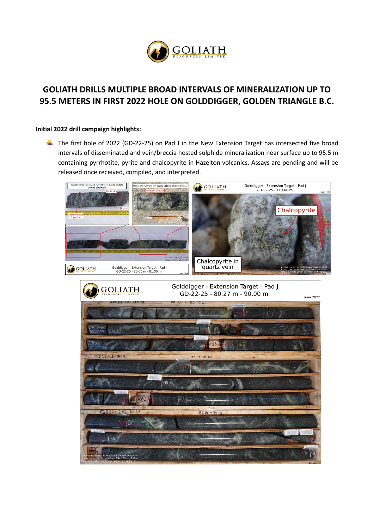

# **GOLIATH DRILLS MULTIPLE BROAD INTERVALS OF MINERALIZATION UP TO 95.5 METERS IN FIRST 2022 HOLE ON GOLDDIGGER, GOLDEN TRIANGLE B.C.**

#### **Initial 2022 drill campaign highlights:**

 $\ddot{+}$  The first hole of 2022 (GD-22-25) on Pad J in the New Extension Target has intersected five broad intervals of disseminated and vein/breccia hosted sulphide mineralization near surface up to 95.5 m containing pyrrhotite, pyrite and chalcopyrite in Hazelton volcanics. Assays are pending and will be released once received, compiled, and interpreted.

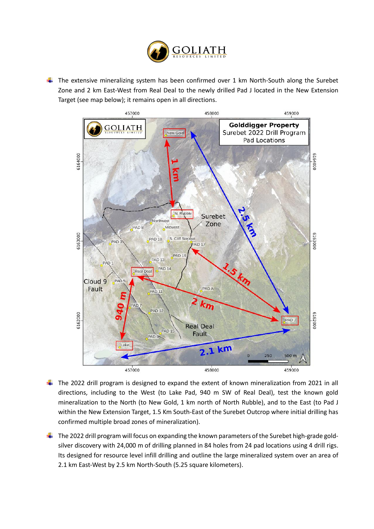

 $\ddot{\phantom{1}}$  The extensive mineralizing system has been confirmed over 1 km North-South along the Surebet Zone and 2 km East-West from Real Deal to the newly drilled Pad J located in the New Extension Target (see map below); it remains open in all directions.



The 2022 drill program is designed to expand the extent of known mineralization from 2021 in all directions, including to the West (to Lake Pad, 940 m SW of Real Deal), test the known gold mineralization to the North (to New Gold, 1 km north of North Rubble), and to the East (to Pad J within the New Extension Target, 1.5 Km South-East of the Surebet Outcrop where initial drilling has confirmed multiple broad zones of mineralization).

 $\ddot{\phantom{1}}$  The 2022 drill program will focus on expanding the known parameters of the Surebet high-grade goldsilver discovery with 24,000 m of drilling planned in 84 holes from 24 pad locations using 4 drill rigs. Its designed for resource level infill drilling and outline the large mineralized system over an area of 2.1 km East-West by 2.5 km North-South (5.25 square kilometers).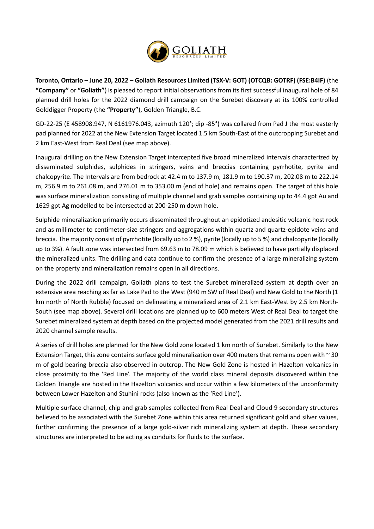

**Toronto, Ontario – June 20, 2022 – Goliath Resources Limited (TSX-V: GOT) (OTCQB: GOTRF) (FSE:B4IF)** (the **"Company"** or **"Goliath"**) is pleased to report initial observations from its first successful inaugural hole of 84 planned drill holes for the 2022 diamond drill campaign on the Surebet discovery at its 100% controlled Golddigger Property (the **"Property"**), Golden Triangle, B.C.

GD-22-25 (E 458908.947, N 6161976.043, azimuth 120°; dip -85°) was collared from Pad J the most easterly pad planned for 2022 at the New Extension Target located 1.5 km South-East of the outcropping Surebet and 2 km East-West from Real Deal (see map above).

Inaugural drilling on the New Extension Target intercepted five broad mineralized intervals characterized by disseminated sulphides, sulphides in stringers, veins and breccias containing pyrrhotite, pyrite and chalcopyrite. The Intervals are from bedrock at 42.4 m to 137.9 m, 181.9 m to 190.37 m, 202.08 m to 222.14 m, 256.9 m to 261.08 m, and 276.01 m to 353.00 m (end of hole) and remains open. The target of this hole was surface mineralization consisting of multiple channel and grab samples containing up to 44.4 gpt Au and 1629 gpt Ag modelled to be intersected at 200-250 m down hole.

Sulphide mineralization primarily occurs disseminated throughout an epidotized andesitic volcanic host rock and as millimeter to centimeter-size stringers and aggregations within quartz and quartz-epidote veins and breccia. The majority consist of pyrrhotite (locally up to 2 %), pyrite (locally up to 5 %) and chalcopyrite (locally up to 3%). A fault zone was intersected from 69.63 m to 78.09 m which is believed to have partially displaced the mineralized units. The drilling and data continue to confirm the presence of a large mineralizing system on the property and mineralization remains open in all directions.

During the 2022 drill campaign, Goliath plans to test the Surebet mineralized system at depth over an extensive area reaching as far as Lake Pad to the West (940 m SW of Real Deal) and New Gold to the North (1 km north of North Rubble) focused on delineating a mineralized area of 2.1 km East-West by 2.5 km North-South (see map above). Several drill locations are planned up to 600 meters West of Real Deal to target the Surebet mineralized system at depth based on the projected model generated from the 2021 drill results and 2020 channel sample results.

A series of drill holes are planned for the New Gold zone located 1 km north of Surebet. Similarly to the New Extension Target, this zone contains surface gold mineralization over 400 meters that remains open with  $\sim$  30 m of gold bearing breccia also observed in outcrop. The New Gold Zone is hosted in Hazelton volcanics in close proximity to the 'Red Line'. The majority of the world class mineral deposits discovered within the Golden Triangle are hosted in the Hazelton volcanics and occur within a few kilometers of the unconformity between Lower Hazelton and Stuhini rocks (also known as the 'Red Line').

Multiple surface channel, chip and grab samples collected from Real Deal and Cloud 9 secondary structures believed to be associated with the Surebet Zone within this area returned significant gold and silver values, further confirming the presence of a large gold-silver rich mineralizing system at depth. These secondary structures are interpreted to be acting as conduits for fluids to the surface.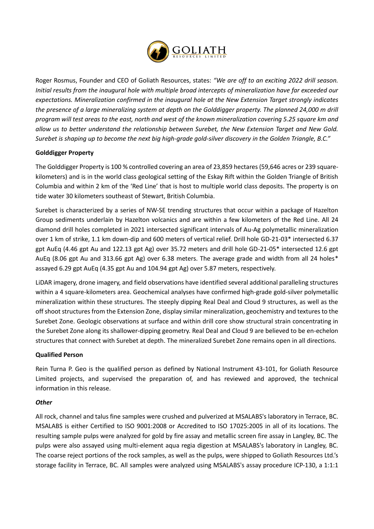

Roger Rosmus, Founder and CEO of Goliath Resources, states: *"We are off to an exciting 2022 drill season. Initial results from the inaugural hole with multiple broad intercepts of mineralization have far exceeded our expectations. Mineralization confirmed in the inaugural hole at the New Extension Target strongly indicates the presence of a large mineralizing system at depth on the Golddigger property. The planned 24,000 m drill program will test areas to the east, north and west of the known mineralization covering 5.25 square km and allow us to better understand the relationship between Surebet, the New Extension Target and New Gold. Surebet is shaping up to become the next big high-grade gold-silver discovery in the Golden Triangle, B.C."*

## **Golddigger Property**

The Golddigger Property is 100 % controlled covering an area of 23,859 hectares (59,646 acres or 239 squarekilometers) and is in the world class geological setting of the Eskay Rift within the Golden Triangle of British Columbia and within 2 km of the 'Red Line' that is host to multiple world class deposits. The property is on tide water 30 kilometers southeast of Stewart, British Columbia.

Surebet is characterized by a series of NW-SE trending structures that occur within a package of Hazelton Group sediments underlain by Hazelton volcanics and are within a few kilometers of the Red Line. All 24 diamond drill holes completed in 2021 intersected significant intervals of Au-Ag polymetallic mineralization over 1 km of strike, 1.1 km down-dip and 600 meters of vertical relief. Drill hole GD-21-03\* intersected 6.37 gpt AuEq (4.46 gpt Au and 122.13 gpt Ag) over 35.72 meters and drill hole GD-21-05\* intersected 12.6 gpt AuEq (8.06 gpt Au and 313.66 gpt Ag) over 6.38 meters. The average grade and width from all 24 holes\* assayed 6.29 gpt AuEq (4.35 gpt Au and 104.94 gpt Ag) over 5.87 meters, respectively.

LiDAR imagery, drone imagery, and field observations have identified several additional paralleling structures within a 4 square-kilometers area. Geochemical analyses have confirmed high-grade gold-silver polymetallic mineralization within these structures. The steeply dipping Real Deal and Cloud 9 structures, as well as the off shoot structures from the Extension Zone, display similar mineralization, geochemistry and textures to the Surebet Zone. Geologic observations at surface and within drill core show structural strain concentrating in the Surebet Zone along its shallower-dipping geometry. Real Deal and Cloud 9 are believed to be en-echelon structures that connect with Surebet at depth. The mineralized Surebet Zone remains open in all directions.

#### **Qualified Person**

Rein Turna P. Geo is the qualified person as defined by National Instrument 43-101, for Goliath Resource Limited projects, and supervised the preparation of, and has reviewed and approved, the technical information in this release.

#### *Other*

All rock, channel and talus fine samples were crushed and pulverized at MSALABS's laboratory in Terrace, BC. MSALABS is either Certified to ISO 9001:2008 or Accredited to ISO 17025:2005 in all of its locations. The resulting sample pulps were analyzed for gold by fire assay and metallic screen fire assay in Langley, BC. The pulps were also assayed using multi-element aqua regia digestion at MSALABS's laboratory in Langley, BC. The coarse reject portions of the rock samples, as well as the pulps, were shipped to Goliath Resources Ltd.'s storage facility in Terrace, BC. All samples were analyzed using MSALABS's assay procedure ICP-130, a 1:1:1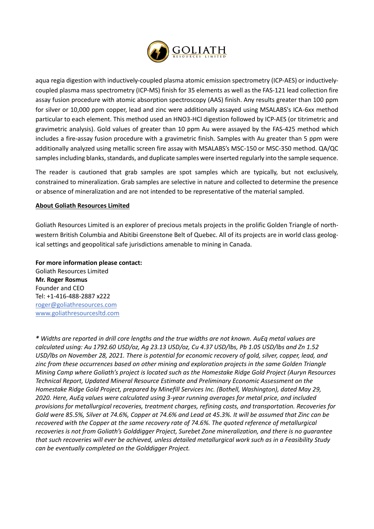

aqua regia digestion with inductively-coupled plasma atomic emission spectrometry (ICP-AES) or inductivelycoupled plasma mass spectrometry (ICP-MS) finish for 35 elements as well as the FAS-121 lead collection fire assay fusion procedure with atomic absorption spectroscopy (AAS) finish. Any results greater than 100 ppm for silver or 10,000 ppm copper, lead and zinc were additionally assayed using MSALABS's ICA-6xx method particular to each element. This method used an HNO3-HCl digestion followed by ICP-AES (or titrimetric and gravimetric analysis). Gold values of greater than 10 ppm Au were assayed by the FAS-425 method which includes a fire-assay fusion procedure with a gravimetric finish. Samples with Au greater than 5 ppm were additionally analyzed using metallic screen fire assay with MSALABS's MSC-150 or MSC-350 method. QA/QC samples including blanks, standards, and duplicate samples were inserted regularly into the sample sequence.

The reader is cautioned that grab samples are spot samples which are typically, but not exclusively, constrained to mineralization. Grab samples are selective in nature and collected to determine the presence or absence of mineralization and are not intended to be representative of the material sampled.

### **About Goliath Resources Limited**

Goliath Resources Limited is an explorer of precious metals projects in the prolific Golden Triangle of northwestern British Columbia and Abitibi Greenstone Belt of Quebec. All of its projects are in world class geological settings and geopolitical safe jurisdictions amenable to mining in Canada.

**For more information please contact:**  Goliath Resources Limited **Mr. Roger Rosmus**  Founder and CEO Tel: +1-416-488-2887 x222 [roger@goliathresources.com](mailto:roger@goliathresources.com) [www.goliathresourcesltd.com](http://www.goliathresourcesltd.com/)

*\* Widths are reported in drill core lengths and the true widths are not known. AuEq metal values are calculated using: Au 1792.60 USD/oz, Ag 23.13 USD/oz, Cu 4.37 USD/lbs, Pb 1.05 USD/lbs and Zn 1.52 USD/lbs on November 28, 2021. There is potential for economic recovery of gold, silver, copper, lead, and zinc from these occurrences based on other mining and exploration projects in the same Golden Triangle Mining Camp where Goliath's project is located such as the Homestake Ridge Gold Project (Auryn Resources Technical Report, Updated Mineral Resource Estimate and Preliminary Economic Assessment on the Homestake Ridge Gold Project, prepared by Minefill Services Inc. (Bothell, Washington), dated May 29, 2020. Here, AuEq values were calculated using 3-year running averages for metal price, and included provisions for metallurgical recoveries, treatment charges, refining costs, and transportation. Recoveries for Gold were 85.5%, Silver at 74.6%, Copper at 74.6% and Lead at 45.3%. It will be assumed that Zinc can be recovered with the Copper at the same recovery rate of 74.6%. The quoted reference of metallurgical recoveries is not from Goliath's Golddigger Project, Surebet Zone mineralization, and there is no guarantee that such recoveries will ever be achieved, unless detailed metallurgical work such as in a Feasibility Study can be eventually completed on the Golddigger Project.*